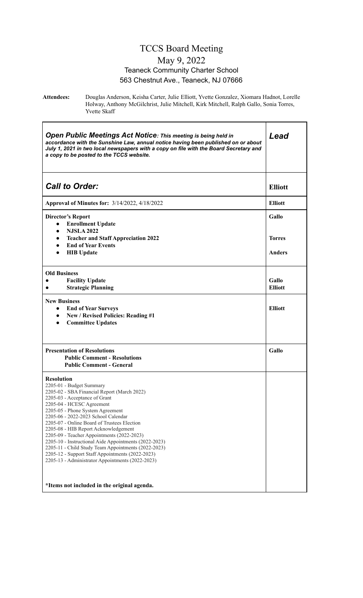### TCCS Board Meeting May 9, 2022 Teaneck Community Charter School 563 Chestnut Ave., Teaneck, NJ 07666

**Attendees:** Douglas Anderson, Keisha Carter, Julie Elliott, Yvette Gonzalez, Xiomara Hadnot, Lorelle Holway, Anthony McGilchrist, Julie Mitchell, Kirk Mitchell, Ralph Gallo, Sonia Torres, Yvette Skaff

| Open Public Meetings Act Notice: This meeting is being held in<br>accordance with the Sunshine Law, annual notice having been published on or about<br>July 1, 2021 in two local newspapers with a copy on file with the Board Secretary and<br>a copy to be posted to the TCCS website.                                                                                                                                                                                                                                                                                                                                                          | Lead                    |
|---------------------------------------------------------------------------------------------------------------------------------------------------------------------------------------------------------------------------------------------------------------------------------------------------------------------------------------------------------------------------------------------------------------------------------------------------------------------------------------------------------------------------------------------------------------------------------------------------------------------------------------------------|-------------------------|
| <b>Call to Order:</b>                                                                                                                                                                                                                                                                                                                                                                                                                                                                                                                                                                                                                             | <b>Elliott</b>          |
| <b>Approval of Minutes for: 3/14/2022, 4/18/2022</b>                                                                                                                                                                                                                                                                                                                                                                                                                                                                                                                                                                                              | <b>Elliott</b>          |
| <b>Director's Report</b><br><b>Enrollment Update</b><br>$\bullet$<br><b>NJSLA 2022</b><br>$\bullet$<br><b>Teacher and Staff Appreciation 2022</b><br>$\bullet$                                                                                                                                                                                                                                                                                                                                                                                                                                                                                    | Gallo<br><b>Torres</b>  |
| <b>End of Year Events</b><br>$\bullet$<br><b>HIB</b> Update<br>$\bullet$                                                                                                                                                                                                                                                                                                                                                                                                                                                                                                                                                                          | <b>Anders</b>           |
| <b>Old Business</b><br><b>Facility Update</b><br><b>Strategic Planning</b>                                                                                                                                                                                                                                                                                                                                                                                                                                                                                                                                                                        | Gallo<br><b>Elliott</b> |
| <b>New Business</b><br><b>End of Year Surveys</b><br>$\bullet$<br>New / Revised Policies: Reading #1<br>$\bullet$<br><b>Committee Updates</b><br>$\bullet$                                                                                                                                                                                                                                                                                                                                                                                                                                                                                        | <b>Elliott</b>          |
| <b>Presentation of Resolutions</b><br><b>Public Comment - Resolutions</b><br><b>Public Comment - General</b>                                                                                                                                                                                                                                                                                                                                                                                                                                                                                                                                      | Gallo                   |
| <b>Resolution</b><br>2205-01 - Budget Summary<br>2205-02 - SBA Financial Report (March 2022)<br>2205-03 - Acceptance of Grant<br>2205-04 - HCESC Agreement<br>2205-05 - Phone System Agreement<br>2205-06 - 2022-2023 School Calendar<br>2205-07 - Online Board of Trustees Election<br>2205-08 - HIB Report Acknowledgement<br>2205-09 - Teacher Appointments (2022-2023)<br>2205-10 - Instructional Aide Appointments (2022-2023)<br>2205-11 - Child Study Team Appointments (2022-2023)<br>2205-12 - Support Staff Appointments (2022-2023)<br>2205-13 - Administrator Appointments (2022-2023)<br>*Items not included in the original agenda. |                         |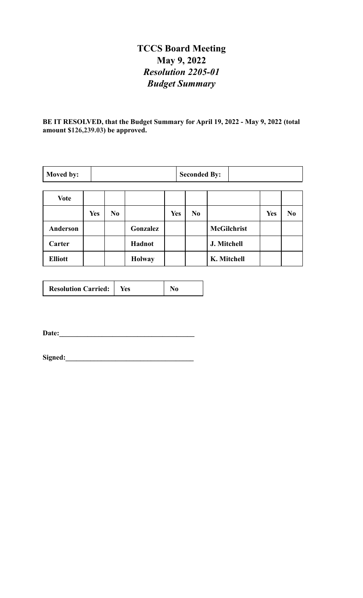## **TCCS Board Meeting May 9, 2022** *Resolution 2205-01 Budget Summary*

**BE IT RESOLVED, that the Budget Summary for April 19, 2022 - May 9, 2022 (total amount \$126,239.03) be approved.**

| Moved by:      |            | <b>Seconded By:</b> |               |     |                |                    |            |                |
|----------------|------------|---------------------|---------------|-----|----------------|--------------------|------------|----------------|
| <b>Vote</b>    |            |                     |               |     |                |                    |            |                |
|                | <b>Yes</b> | N <sub>0</sub>      |               | Yes | N <sub>0</sub> |                    | <b>Yes</b> | N <sub>0</sub> |
| Anderson       |            |                     | Gonzalez      |     |                | <b>McGilchrist</b> |            |                |
| Carter         |            |                     | Hadnot        |     |                | J. Mitchell        |            |                |
| <b>Elliott</b> |            |                     | <b>Holway</b> |     |                | K. Mitchell        |            |                |

| <b>Resolution Carried:</b> | tes |  |
|----------------------------|-----|--|
|----------------------------|-----|--|

**Date:\_\_\_\_\_\_\_\_\_\_\_\_\_\_\_\_\_\_\_\_\_\_\_\_\_\_\_\_\_\_\_\_\_\_\_\_\_\_**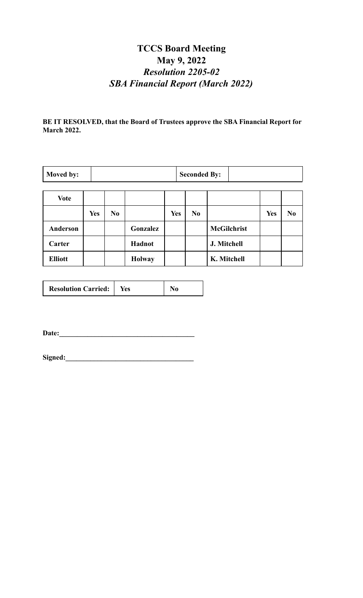## **TCCS Board Meeting May 9, 2022** *Resolution 2205-02 SBA Financial Report (March 2022)*

**BE IT RESOLVED, that the Board of Trustees approve the SBA Financial Report for March 2022.**

| Moved by:       |            |                |               |            | <b>Seconded By:</b> |                    |            |                |
|-----------------|------------|----------------|---------------|------------|---------------------|--------------------|------------|----------------|
|                 |            |                |               |            |                     |                    |            |                |
| <b>Vote</b>     |            |                |               |            |                     |                    |            |                |
|                 | <b>Yes</b> | N <sub>0</sub> |               | <b>Yes</b> | N <sub>0</sub>      |                    | <b>Yes</b> | N <sub>0</sub> |
| <b>Anderson</b> |            |                | Gonzalez      |            |                     | <b>McGilchrist</b> |            |                |
| Carter          |            |                | Hadnot        |            |                     | J. Mitchell        |            |                |
| <b>Elliott</b>  |            |                | <b>Holway</b> |            |                     | K. Mitchell        |            |                |

| <b>Resolution Carried:</b> | tes |  |
|----------------------------|-----|--|
|----------------------------|-----|--|

**Date:\_\_\_\_\_\_\_\_\_\_\_\_\_\_\_\_\_\_\_\_\_\_\_\_\_\_\_\_\_\_\_\_\_\_\_\_\_\_**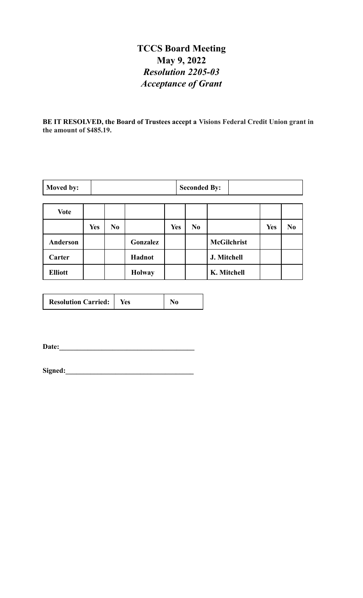## **TCCS Board Meeting May 9, 2022** *Resolution 2205-03 Acceptance of Grant*

**BE IT RESOLVED, the Board of Trustees accept a Visions Federal Credit Union grant in the amount of \$485.19.**

| Moved by: | <b>Seconded By:</b> |  |
|-----------|---------------------|--|
|           |                     |  |

| Vote           |            |                |               |            |                |                    |            |                |
|----------------|------------|----------------|---------------|------------|----------------|--------------------|------------|----------------|
|                | <b>Yes</b> | N <sub>0</sub> |               | <b>Yes</b> | N <sub>0</sub> |                    | <b>Yes</b> | N <sub>0</sub> |
| Anderson       |            |                | Gonzalez      |            |                | <b>McGilchrist</b> |            |                |
| Carter         |            |                | Hadnot        |            |                | J. Mitchell        |            |                |
| <b>Elliott</b> |            |                | <b>Holway</b> |            |                | K. Mitchell        |            |                |

| <b>Resolution Carried:</b> | res |
|----------------------------|-----|
|----------------------------|-----|

**Date:\_\_\_\_\_\_\_\_\_\_\_\_\_\_\_\_\_\_\_\_\_\_\_\_\_\_\_\_\_\_\_\_\_\_\_\_\_\_**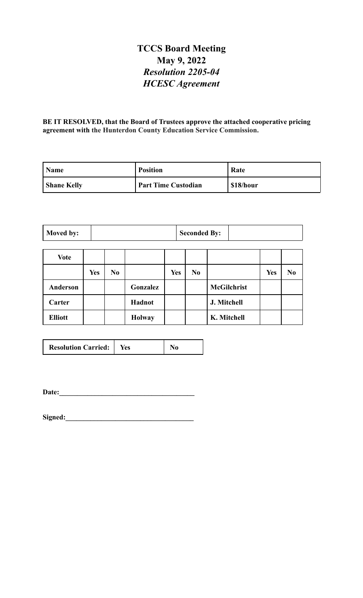## **TCCS Board Meeting May 9, 2022** *Resolution 2205-04 HCESC Agreement*

**BE IT RESOLVED, that the Board of Trustees approve the attached cooperative pricing agreement with the Hunterdon County Education Service Commission.**

| <b>Name</b>        | <b>Position</b>            | Rate     |
|--------------------|----------------------------|----------|
| <b>Shane Kelly</b> | <b>Part Time Custodian</b> | S18/hour |

| Moved by: |  | <b>Seconded By:</b> |  |
|-----------|--|---------------------|--|
|-----------|--|---------------------|--|

| <b>Vote</b>    |            |                |               |            |                |                    |            |                |
|----------------|------------|----------------|---------------|------------|----------------|--------------------|------------|----------------|
|                | <b>Yes</b> | N <sub>0</sub> |               | <b>Yes</b> | N <sub>0</sub> |                    | <b>Yes</b> | N <sub>0</sub> |
| Anderson       |            |                | Gonzalez      |            |                | <b>McGilchrist</b> |            |                |
| Carter         |            |                | Hadnot        |            |                | J. Mitchell        |            |                |
| <b>Elliott</b> |            |                | <b>Holway</b> |            |                | K. Mitchell        |            |                |

| <b>Resolution Carried:</b> | Yes |  |
|----------------------------|-----|--|
|----------------------------|-----|--|

**Date:\_\_\_\_\_\_\_\_\_\_\_\_\_\_\_\_\_\_\_\_\_\_\_\_\_\_\_\_\_\_\_\_\_\_\_\_\_\_**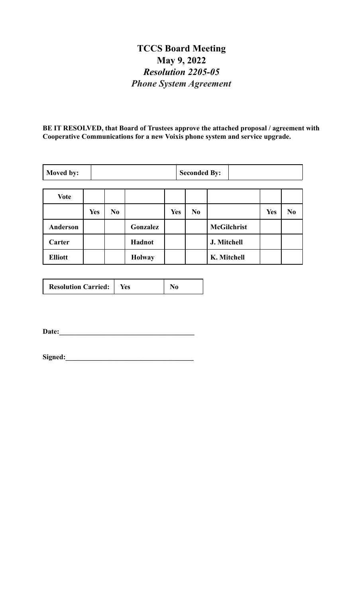## **TCCS Board Meeting May 9, 2022** *Resolution 2205-05 Phone System Agreement*

**BE IT RESOLVED, that Board of Trustees approve the attached proposal / agreement with Cooperative Communications for a new Voixis phone system and service upgrade.**

| Moved by:       |            |                |               |            | <b>Seconded By:</b> |                    |            |                |
|-----------------|------------|----------------|---------------|------------|---------------------|--------------------|------------|----------------|
| <b>Vote</b>     |            |                |               |            |                     |                    |            |                |
|                 |            |                |               |            |                     |                    |            |                |
|                 | <b>Yes</b> | N <sub>0</sub> |               | <b>Yes</b> | N <sub>0</sub>      |                    | <b>Yes</b> | N <sub>0</sub> |
| <b>Anderson</b> |            |                | Gonzalez      |            |                     | <b>McGilchrist</b> |            |                |
| Carter          |            |                | Hadnot        |            |                     | J. Mitchell        |            |                |
| <b>Elliott</b>  |            |                | <b>Holway</b> |            |                     | K. Mitchell        |            |                |

| <b>Resolution Carried:</b> | Yes |  |
|----------------------------|-----|--|
|----------------------------|-----|--|

**Date:\_\_\_\_\_\_\_\_\_\_\_\_\_\_\_\_\_\_\_\_\_\_\_\_\_\_\_\_\_\_\_\_\_\_\_\_\_\_**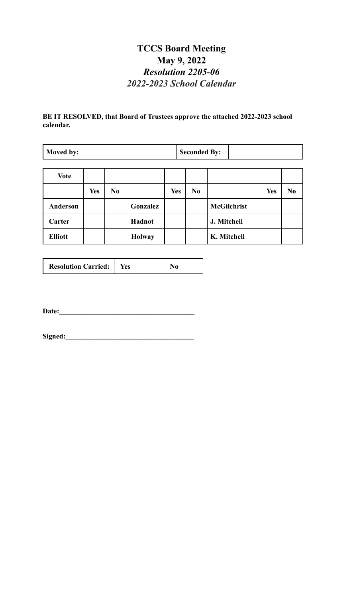## **TCCS Board Meeting May 9, 2022** *Resolution 2205-06 2022-2023 School Calendar*

### **BE IT RESOLVED, that Board of Trustees approve the attached 2022-2023 school calendar.**

| Moved by: | <b>Seconded By:</b> |  |
|-----------|---------------------|--|
|-----------|---------------------|--|

| <b>Vote</b>     |            |                |               |            |                |                    |            |                |
|-----------------|------------|----------------|---------------|------------|----------------|--------------------|------------|----------------|
|                 | <b>Yes</b> | N <sub>0</sub> |               | <b>Yes</b> | N <sub>0</sub> |                    | <b>Yes</b> | N <sub>0</sub> |
| <b>Anderson</b> |            |                | Gonzalez      |            |                | <b>McGilchrist</b> |            |                |
| Carter          |            |                | Hadnot        |            |                | J. Mitchell        |            |                |
| <b>Elliott</b>  |            |                | <b>Holway</b> |            |                | K. Mitchell        |            |                |

| <b>Resolution Carried:</b> | Yes |  |
|----------------------------|-----|--|
|----------------------------|-----|--|

**Date:\_\_\_\_\_\_\_\_\_\_\_\_\_\_\_\_\_\_\_\_\_\_\_\_\_\_\_\_\_\_\_\_\_\_\_\_\_\_**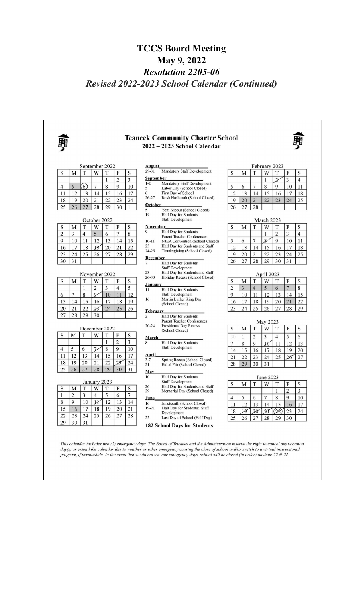## **TCCS Board Meeting May 9, 2022** *Resolution 2205-06 Revised 2022-2023 School Calendar (Continued)*



day(s) or extend the calendar due to weather or other emergency causing the close of school and/or switch to a virtual instructional program, if permissible. In the event that we do not use our emergency days, school will be closed (in order) on June 22 & 21.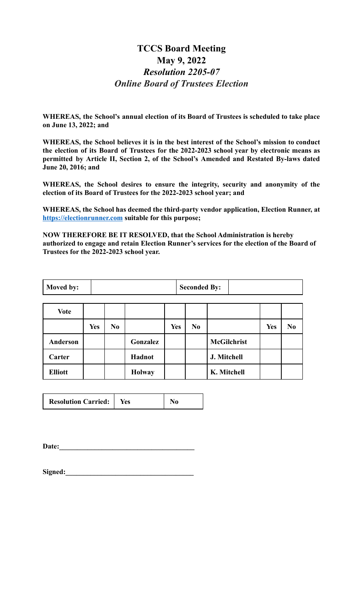## **TCCS Board Meeting May 9, 2022** *Resolution 2205-07 Online Board of Trustees Election*

**WHEREAS, the School's annual election of its Board of Trustees is scheduled to take place on June 13, 2022; and**

**WHEREAS, the School believes it is in the best interest of the School's mission to conduct the election of its Board of Trustees for the 2022-2023 school year by electronic means as permitted by Article II, Section 2, of the School's Amended and Restated By-laws dated June 20, 2016; and**

**WHEREAS, the School desires to ensure the integrity, security and anonymity of the election of its Board of Trustees for the 2022-2023 school year; and**

**WHEREAS, the School has deemed the third-party vendor application, Election Runner, at <https://electionrunner.com> suitable for this purpose;**

**NOW THEREFORE BE IT RESOLVED, that the School Administration is hereby authorized to engage and retain Election Runner's services for the election of the Board of Trustees for the 2022-2023 school year.**

| Moved by: | <b>Seconded By:</b> |  |
|-----------|---------------------|--|
|-----------|---------------------|--|

| <b>Vote</b>    |            |                |               |            |                |                    |            |                |
|----------------|------------|----------------|---------------|------------|----------------|--------------------|------------|----------------|
|                | <b>Yes</b> | N <sub>0</sub> |               | <b>Yes</b> | N <sub>0</sub> |                    | <b>Yes</b> | N <sub>0</sub> |
| Anderson       |            |                | Gonzalez      |            |                | <b>McGilchrist</b> |            |                |
| Carter         |            |                | Hadnot        |            |                | J. Mitchell        |            |                |
| <b>Elliott</b> |            |                | <b>Holway</b> |            |                | K. Mitchell        |            |                |

| <b>Resolution Carried:</b> | Yes |  |
|----------------------------|-----|--|
|                            |     |  |

Date: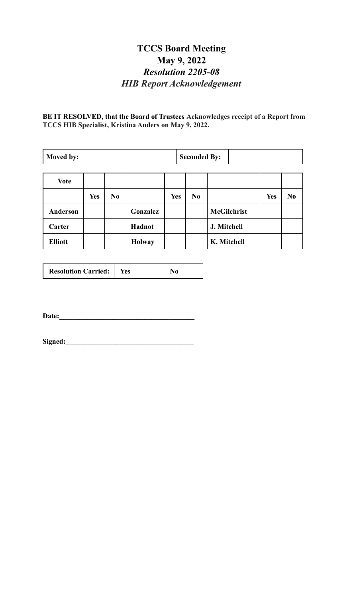## **TCCS Board Meeting May 9, 2022** *Resolution 2205-08 HIB Report Acknowledgement*

**BE IT RESOLVED, that the Board of Trustees Acknowledges receipt of a Report from TCCS HIB Specialist, Kristina Anders on May 9, 2022.**

| Moved by:      |            |                |               |            | <b>Seconded By:</b> |                    |            |                |
|----------------|------------|----------------|---------------|------------|---------------------|--------------------|------------|----------------|
| <b>Vote</b>    |            |                |               |            |                     |                    |            |                |
|                | <b>Yes</b> | N <sub>0</sub> |               | <b>Yes</b> | N <sub>0</sub>      |                    | <b>Yes</b> | N <sub>0</sub> |
| Anderson       |            |                | Gonzalez      |            |                     | <b>McGilchrist</b> |            |                |
| Carter         |            |                | <b>Hadnot</b> |            |                     | J. Mitchell        |            |                |
| <b>Elliott</b> |            |                | <b>Holway</b> |            |                     | K. Mitchell        |            |                |

|  | <b>Resolution Carried:</b> | res |
|--|----------------------------|-----|
|--|----------------------------|-----|

**Date:\_\_\_\_\_\_\_\_\_\_\_\_\_\_\_\_\_\_\_\_\_\_\_\_\_\_\_\_\_\_\_\_\_\_\_\_\_\_**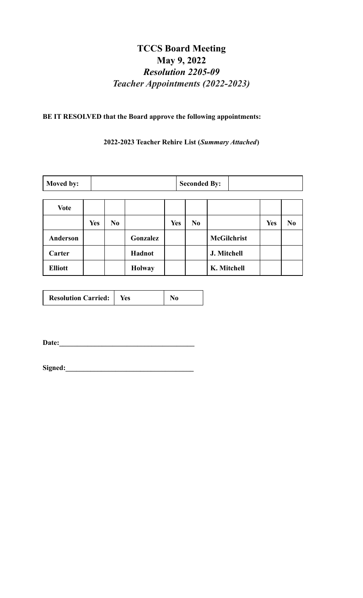## **TCCS Board Meeting May 9, 2022** *Resolution 2205-09 Teacher Appointments (2022-2023)*

### **BE IT RESOLVED that the Board approve the following appointments:**

**2022-2023 Teacher Rehire List (***Summary Attached***)**

| Moved by:       |            |    |               |            | <b>Seconded By:</b> |                    |            |                |
|-----------------|------------|----|---------------|------------|---------------------|--------------------|------------|----------------|
| <b>Vote</b>     |            |    |               |            |                     |                    |            |                |
|                 | <b>Yes</b> | No |               | <b>Yes</b> | N <sub>0</sub>      |                    | <b>Yes</b> | N <sub>0</sub> |
| <b>Anderson</b> |            |    | Gonzalez      |            |                     | <b>McGilchrist</b> |            |                |
| Carter          |            |    | Hadnot        |            |                     | J. Mitchell        |            |                |
| <b>Elliott</b>  |            |    | <b>Holway</b> |            |                     | K. Mitchell        |            |                |

|  | <b>Resolution Carried:</b><br>Yes |  |
|--|-----------------------------------|--|
|--|-----------------------------------|--|

**Date:\_\_\_\_\_\_\_\_\_\_\_\_\_\_\_\_\_\_\_\_\_\_\_\_\_\_\_\_\_\_\_\_\_\_\_\_\_\_**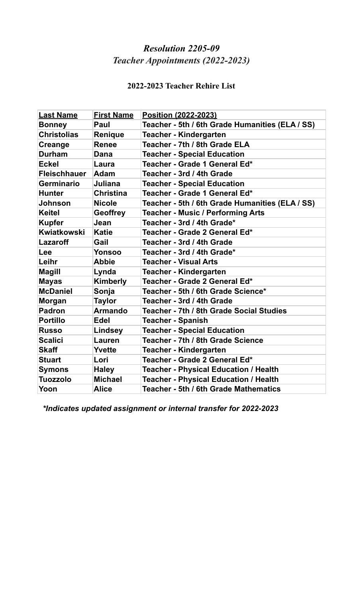## *Resolution 2205-09 Teacher Appointments (2022-2023)*

## **2022-2023 Teacher Rehire List**

| <b>Last Name</b>    | <b>First Name</b> | Position (2022-2023)                            |
|---------------------|-------------------|-------------------------------------------------|
| <b>Bonney</b>       | Paul              | Teacher - 5th / 6th Grade Humanities (ELA / SS) |
| <b>Christolias</b>  | Renique           | <b>Teacher - Kindergarten</b>                   |
| Creange             | <b>Renee</b>      | Teacher - 7th / 8th Grade ELA                   |
| <b>Durham</b>       | Dana              | <b>Teacher - Special Education</b>              |
| <b>Eckel</b>        | Laura             | Teacher - Grade 1 General Ed*                   |
| <b>Fleischhauer</b> | <b>Adam</b>       | Teacher - 3rd / 4th Grade                       |
| <b>Germinario</b>   | Juliana           | <b>Teacher - Special Education</b>              |
| <b>Hunter</b>       | <b>Christina</b>  | Teacher - Grade 1 General Ed*                   |
| <b>Johnson</b>      | <b>Nicole</b>     | Teacher - 5th / 6th Grade Humanities (ELA / SS) |
| <b>Keitel</b>       | <b>Geoffrey</b>   | <b>Teacher - Music / Performing Arts</b>        |
| <b>Kupfer</b>       | Jean              | Teacher - 3rd / 4th Grade*                      |
| Kwiatkowski         | <b>Katie</b>      | Teacher - Grade 2 General Ed*                   |
| <b>Lazaroff</b>     | Gail              | Teacher - 3rd / 4th Grade                       |
| Lee                 | Yonsoo            | Teacher - 3rd / 4th Grade*                      |
| Leihr               | <b>Abbie</b>      | <b>Teacher - Visual Arts</b>                    |
| <b>Magill</b>       | Lynda             | <b>Teacher - Kindergarten</b>                   |
| <b>Mayas</b>        | Kimberly          | Teacher - Grade 2 General Ed*                   |
| <b>McDaniel</b>     | Sonja             | Teacher - 5th / 6th Grade Science*              |
| <b>Morgan</b>       | <b>Taylor</b>     | Teacher - 3rd / 4th Grade                       |
| <b>Padron</b>       | <b>Armando</b>    | Teacher - 7th / 8th Grade Social Studies        |
| <b>Portillo</b>     | <b>Edel</b>       | <b>Teacher - Spanish</b>                        |
| <b>Russo</b>        | <b>Lindsey</b>    | <b>Teacher - Special Education</b>              |
| <b>Scalici</b>      | <b>Lauren</b>     | Teacher - 7th / 8th Grade Science               |
| <b>Skaff</b>        | Yvette            | <b>Teacher - Kindergarten</b>                   |
| <b>Stuart</b>       | Lori              | Teacher - Grade 2 General Ed*                   |
| <b>Symons</b>       | <b>Haley</b>      | <b>Teacher - Physical Education / Health</b>    |
| <b>Tuozzolo</b>     | <b>Michael</b>    | <b>Teacher - Physical Education / Health</b>    |
| Yoon                | Alice             | Teacher - 5th / 6th Grade Mathematics           |

*\*Indicates updated assignment or internal transfer for 2022-2023*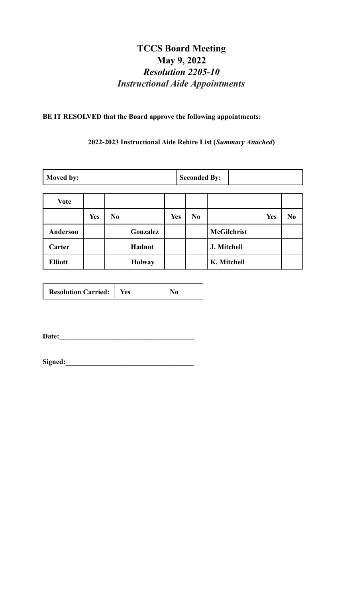## **TCCS Board Meeting May 9, 2022** *Resolution 2205-10 Instructional Aide Appointments*

### **BE IT RESOLVED that the Board approve the following appointments:**

#### **2022-2023 Instructional Aide Rehire List (***Summary Attached***)**

| Moved by:      |            | <b>Seconded By:</b> |               |            |    |                    |     |                |
|----------------|------------|---------------------|---------------|------------|----|--------------------|-----|----------------|
| <b>Vote</b>    |            |                     |               |            |    |                    |     |                |
|                | <b>Yes</b> | N <sub>0</sub>      |               | <b>Yes</b> | No |                    | Yes | N <sub>0</sub> |
| Anderson       |            |                     | Gonzalez      |            |    | <b>McGilchrist</b> |     |                |
| Carter         |            |                     | Hadnot        |            |    | J. Mitchell        |     |                |
| <b>Elliott</b> |            |                     | <b>Holway</b> |            |    | K. Mitchell        |     |                |

| <b>Resolution Carried:</b> | Yes |  |
|----------------------------|-----|--|
|                            |     |  |

**Date:\_\_\_\_\_\_\_\_\_\_\_\_\_\_\_\_\_\_\_\_\_\_\_\_\_\_\_\_\_\_\_\_\_\_\_\_\_\_**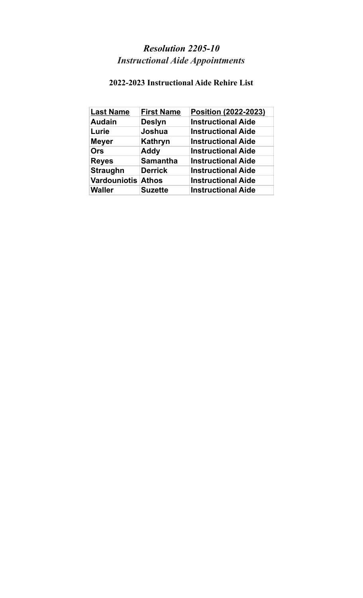# *Resolution 2205-10 Instructional Aide Appointments*

## **2022-2023 Instructional Aide Rehire List**

| <b>Last Name</b>          | <b>First Name</b> | Position (2022-2023)      |
|---------------------------|-------------------|---------------------------|
| <b>Audain</b>             | <b>Deslyn</b>     | <b>Instructional Aide</b> |
| Lurie                     | Joshua            | <b>Instructional Aide</b> |
| <b>Meyer</b>              | <b>Kathryn</b>    | <b>Instructional Aide</b> |
| <b>Ors</b>                | <b>Addy</b>       | <b>Instructional Aide</b> |
| <b>Reyes</b>              | <b>Samantha</b>   | <b>Instructional Aide</b> |
| <b>Straughn</b>           | <b>Derrick</b>    | <b>Instructional Aide</b> |
| <b>Vardouniotis Athos</b> |                   | <b>Instructional Aide</b> |
| <b>Waller</b>             | <b>Suzette</b>    | <b>Instructional Aide</b> |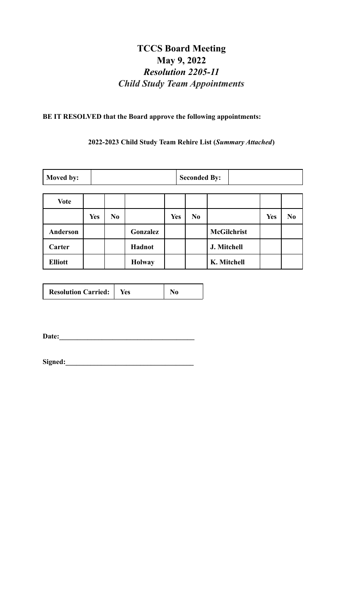## **TCCS Board Meeting May 9, 2022** *Resolution 2205-11 Child Study Team Appointments*

### **BE IT RESOLVED that the Board approve the following appointments:**

**2022-2023 Child Study Team Rehire List (***Summary Attached***)**

| Moved by:       | <b>Seconded By:</b> |                |               |            |                |                    |            |                |
|-----------------|---------------------|----------------|---------------|------------|----------------|--------------------|------------|----------------|
| <b>Vote</b>     |                     |                |               |            |                |                    |            |                |
|                 | <b>Yes</b>          | N <sub>0</sub> |               | <b>Yes</b> | N <sub>0</sub> |                    | <b>Yes</b> | N <sub>0</sub> |
| <b>Anderson</b> |                     |                | Gonzalez      |            |                | <b>McGilchrist</b> |            |                |
| Carter          |                     |                | Hadnot        |            |                | J. Mitchell        |            |                |
| <b>Elliott</b>  |                     |                | <b>Holway</b> |            |                | K. Mitchell        |            |                |

| <b>Resolution Carried:</b> | Yes |  |
|----------------------------|-----|--|
|----------------------------|-----|--|

**Date:\_\_\_\_\_\_\_\_\_\_\_\_\_\_\_\_\_\_\_\_\_\_\_\_\_\_\_\_\_\_\_\_\_\_\_\_\_\_**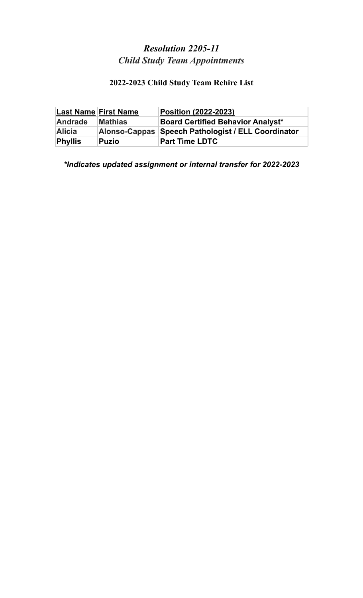## *Resolution 2205-11 Child Study Team Appointments*

# **2022-2023 Child Study Team Rehire List**

|                | <b>Last Name First Name</b> | <b>Position (2022-2023)</b>                        |
|----------------|-----------------------------|----------------------------------------------------|
| <b>Andrade</b> | <b>Mathias</b>              | <b>Board Certified Behavior Analyst*</b>           |
| Alicia         |                             | Alonso-Cappas Speech Pathologist / ELL Coordinator |
| <b>Phyllis</b> | <b>Puzio</b>                | <b>Part Time LDTC</b>                              |

*\*Indicates updated assignment or internal transfer for 2022-2023*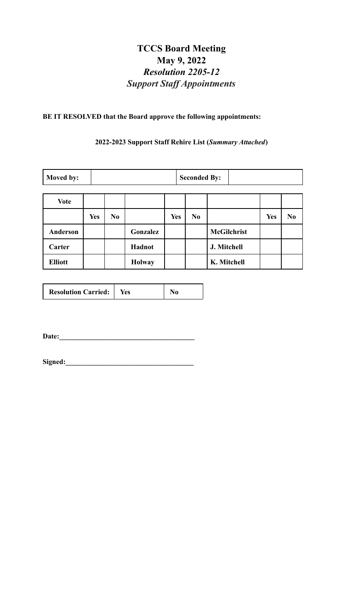## **TCCS Board Meeting May 9, 2022** *Resolution 2205-12 Support Staf Appointments*

### **BE IT RESOLVED that the Board approve the following appointments:**

### **2022-2023 Support Staff Rehire List (***Summary Attached***)**

| Moved by:       |            | <b>Seconded By:</b> |               |            |    |                    |            |                |
|-----------------|------------|---------------------|---------------|------------|----|--------------------|------------|----------------|
| <b>Vote</b>     |            |                     |               |            |    |                    |            |                |
|                 | <b>Yes</b> | N <sub>0</sub>      |               | <b>Yes</b> | No |                    | <b>Yes</b> | N <sub>0</sub> |
| <b>Anderson</b> |            |                     | Gonzalez      |            |    | <b>McGilchrist</b> |            |                |
| Carter          |            |                     | Hadnot        |            |    | J. Mitchell        |            |                |
| <b>Elliott</b>  |            |                     | <b>Holway</b> |            |    | K. Mitchell        |            |                |

| <b>Resolution Carried:</b> | res |  |
|----------------------------|-----|--|
|                            |     |  |

**Date:\_\_\_\_\_\_\_\_\_\_\_\_\_\_\_\_\_\_\_\_\_\_\_\_\_\_\_\_\_\_\_\_\_\_\_\_\_\_**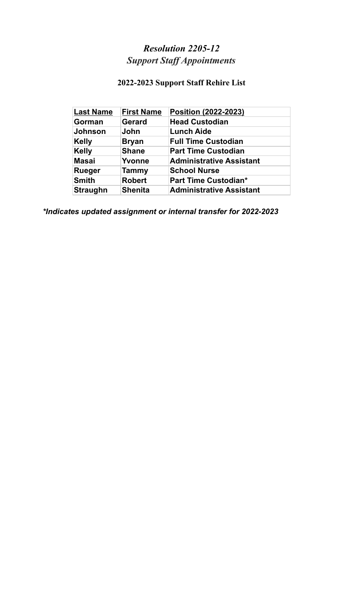# *Resolution 2205-12 Support Staf Appointments*

# **2022-2023 Support Staff Rehire List**

| <b>Last Name</b> | <b>First Name</b> | Position (2022-2023)            |
|------------------|-------------------|---------------------------------|
| Gorman           | <b>Gerard</b>     | <b>Head Custodian</b>           |
| <b>Johnson</b>   | John              | <b>Lunch Aide</b>               |
| <b>Kelly</b>     | <b>Bryan</b>      | <b>Full Time Custodian</b>      |
| <b>Kelly</b>     | <b>Shane</b>      | <b>Part Time Custodian</b>      |
| <b>Masai</b>     | Yvonne            | <b>Administrative Assistant</b> |
| <b>Rueger</b>    | <b>Tammy</b>      | <b>School Nurse</b>             |
| <b>Smith</b>     | <b>Robert</b>     | <b>Part Time Custodian*</b>     |
| <b>Straughn</b>  | <b>Shenita</b>    | <b>Administrative Assistant</b> |

*\*Indicates updated assignment or internal transfer for 2022-2023*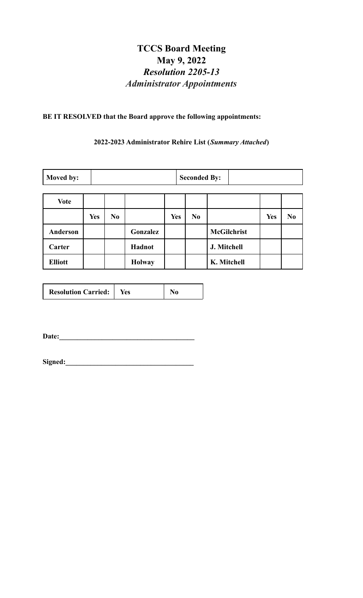## **TCCS Board Meeting May 9, 2022** *Resolution 2205-13 Administrator Appointments*

### **BE IT RESOLVED that the Board approve the following appointments:**

### **2022-2023 Administrator Rehire List (***Summary Attached***)**

| Moved by:       | <b>Seconded By:</b> |                |               |            |                |                    |            |                |
|-----------------|---------------------|----------------|---------------|------------|----------------|--------------------|------------|----------------|
| <b>Vote</b>     |                     |                |               |            |                |                    |            |                |
|                 | <b>Yes</b>          | N <sub>0</sub> |               | <b>Yes</b> | N <sub>0</sub> |                    | <b>Yes</b> | N <sub>0</sub> |
| <b>Anderson</b> |                     |                | Gonzalez      |            |                | <b>McGilchrist</b> |            |                |
| Carter          |                     |                | Hadnot        |            |                | J. Mitchell        |            |                |
| <b>Elliott</b>  |                     |                | <b>Holway</b> |            |                | K. Mitchell        |            |                |

| <b>Resolution Carried:</b> | Yes |  |
|----------------------------|-----|--|
|                            |     |  |

**Date:\_\_\_\_\_\_\_\_\_\_\_\_\_\_\_\_\_\_\_\_\_\_\_\_\_\_\_\_\_\_\_\_\_\_\_\_\_\_**